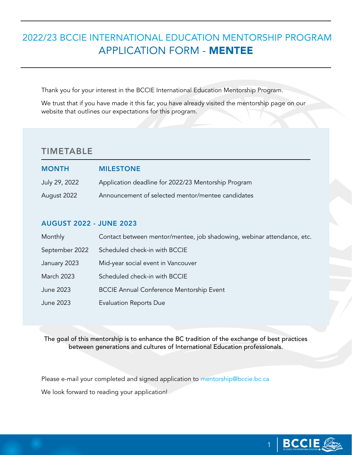# 2022/23 BCCIE INTERNATIONAL EDUCATION MENTORSHIP PROGRAM APPLICATION FORM - MENTEE

Thank you for your interest in the BCCIE International Education Mentorship Program.

We trust that if you have made it this far, you have already visited the mentorship page on our website that outlines our expectations for this program.

### TIMETABLE

| <b>MONTH</b>  | <b>MILESTONE</b>                                    |
|---------------|-----------------------------------------------------|
| July 29, 2022 | Application deadline for 2022/23 Mentorship Program |
| August 2022   | Announcement of selected mentor/mentee candidates   |

#### AUGUST 2022 - JUNE 2023

| Monthly           | Contact between mentor/mentee, job shadowing, webinar attendance, etc. |
|-------------------|------------------------------------------------------------------------|
| September 2022    | Scheduled check-in with BCCIE                                          |
| January 2023      | Mid-year social event in Vancouver                                     |
| <b>March 2023</b> | Scheduled check-in with BCCIE                                          |
| June 2023         | <b>BCCIE Annual Conference Mentorship Event</b>                        |
| June 2023         | <b>Evaluation Reports Due</b>                                          |

The goal of this mentorship is to enhance the BC tradition of the exchange of best practices between generations and cultures of International Education professionals.

Please e-mail your completed and signed application to [mentorship@bccie.bc.ca](mailto:mentorship%40bccie.bc.ca?subject=)

We look forward to reading your application!

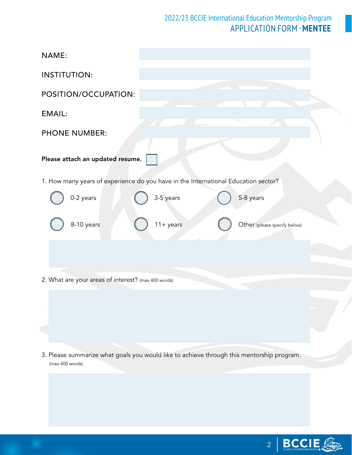## 2022/23 BCCIE International Education Mentorship Program APPLICATION FORM -**MENTEE**

| NAME:                                                                                                        |
|--------------------------------------------------------------------------------------------------------------|
| <b>INSTITUTION:</b>                                                                                          |
| POSITION/OCCUPATION:                                                                                         |
| <b>EMAIL:</b>                                                                                                |
| <b>PHONE NUMBER:</b>                                                                                         |
| Please attach an updated resume.                                                                             |
| 1. How many years of experience do you have in the International Education sector?                           |
| 0-2 years<br>3-5 years<br>5-8 years                                                                          |
| 8-10 years<br>$11 + years$<br>Other (please specify below)                                                   |
|                                                                                                              |
| 2. What are your areas of interest? (max 400 words)                                                          |
|                                                                                                              |
|                                                                                                              |
|                                                                                                              |
| 3. Please summarize what goals you would like to achieve through this mentorship program.<br>(max 400 words) |
|                                                                                                              |